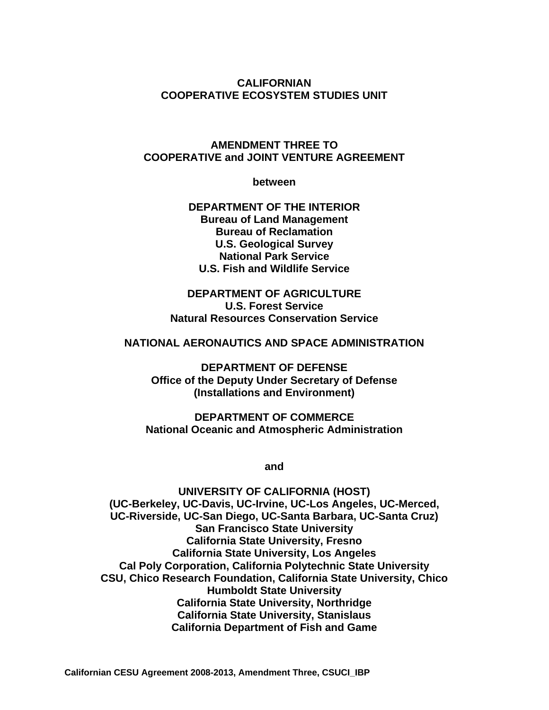#### **CALIFORNIAN COOPERATIVE ECOSYSTEM STUDIES UNIT**

#### **AMENDMENT THREE TO COOPERATIVE and JOINT VENTURE AGREEMENT**

**between** 

**DEPARTMENT OF THE INTERIOR Bureau of Land Management Bureau of Reclamation U.S. Geological Survey National Park Service U.S. Fish and Wildlife Service** 

**DEPARTMENT OF AGRICULTURE U.S. Forest Service Natural Resources Conservation Service** 

#### **NATIONAL AERONAUTICS AND SPACE ADMINISTRATION**

**DEPARTMENT OF DEFENSE Office of the Deputy Under Secretary of Defense (Installations and Environment)** 

**DEPARTMENT OF COMMERCE National Oceanic and Atmospheric Administration** 

**and** 

**UNIVERSITY OF CALIFORNIA (HOST) (UC-Berkeley, UC-Davis, UC-Irvine, UC-Los Angeles, UC-Merced, UC-Riverside, UC-San Diego, UC-Santa Barbara, UC-Santa Cruz) San Francisco State University California State University, Fresno California State University, Los Angeles Cal Poly Corporation, California Polytechnic State University CSU, Chico Research Foundation, California State University, Chico Humboldt State University California State University, Northridge California State University, Stanislaus California Department of Fish and Game**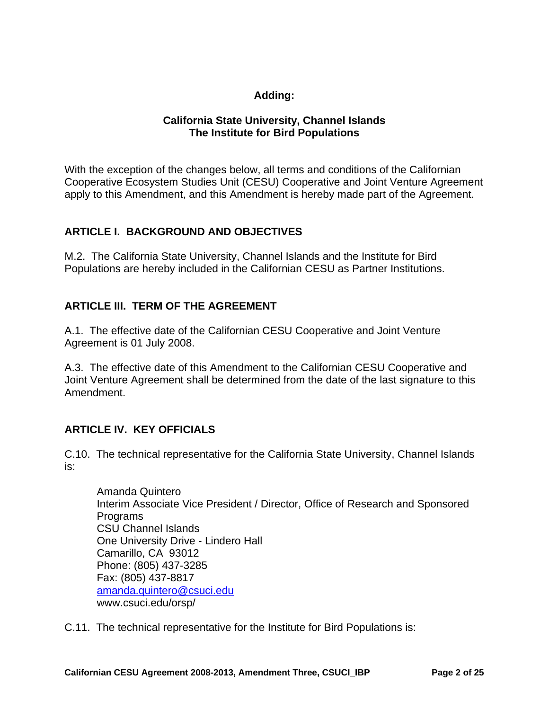### **Adding:**

#### **California State University, Channel Islands The Institute for Bird Populations**

With the exception of the changes below, all terms and conditions of the Californian Cooperative Ecosystem Studies Unit (CESU) Cooperative and Joint Venture Agreement apply to this Amendment, and this Amendment is hereby made part of the Agreement.

### **ARTICLE I. BACKGROUND AND OBJECTIVES**

M.2. The California State University, Channel Islands and the Institute for Bird Populations are hereby included in the Californian CESU as Partner Institutions.

### **ARTICLE III. TERM OF THE AGREEMENT**

A.1. The effective date of the Californian CESU Cooperative and Joint Venture Agreement is 01 July 2008.

A.3. The effective date of this Amendment to the Californian CESU Cooperative and Joint Venture Agreement shall be determined from the date of the last signature to this Amendment.

### **ARTICLE IV. KEY OFFICIALS**

C.10. The technical representative for the California State University, Channel Islands is:

Amanda Quintero Interim Associate Vice President / Director, Office of Research and Sponsored **Programs** CSU Channel Islands One University Drive - Lindero Hall Camarillo, CA 93012 Phone: (805) 437-3285 Fax: (805) 437-8817 amanda.quintero@csuci.edu www.csuci.edu/orsp/

C.11. The technical representative for the Institute for Bird Populations is: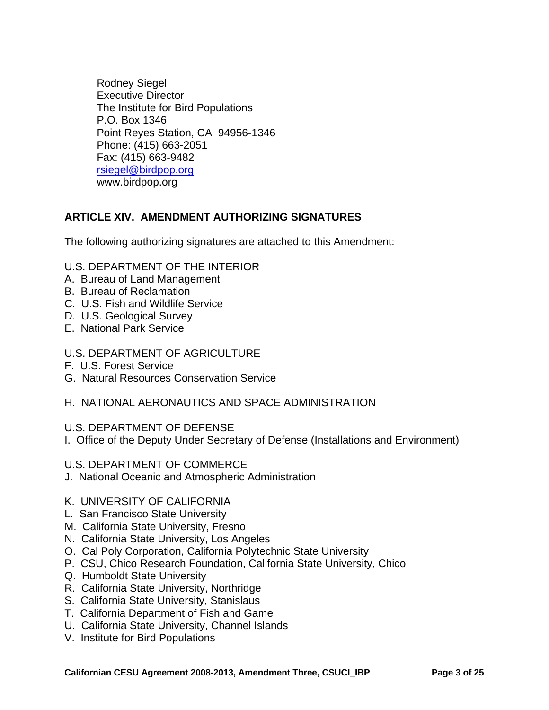Rodney Siegel Executive Director The Institute for Bird Populations P.O. Box 1346 Point Reyes Station, CA 94956-1346 Phone: (415) 663-2051 Fax: (415) 663-9482 rsiegel@birdpop.org www.birdpop.org

### **ARTICLE XIV. AMENDMENT AUTHORIZING SIGNATURES**

The following authorizing signatures are attached to this Amendment:

- U.S. DEPARTMENT OF THE INTERIOR
- A. Bureau of Land Management
- B. Bureau of Reclamation
- C. U.S. Fish and Wildlife Service
- D. U.S. Geological Survey
- E. National Park Service
- U.S. DEPARTMENT OF AGRICULTURE
- F. U.S. Forest Service
- G. Natural Resources Conservation Service
- H. NATIONAL AERONAUTICS AND SPACE ADMINISTRATION

#### U.S. DEPARTMENT OF DEFENSE

- I. Office of the Deputy Under Secretary of Defense (Installations and Environment)
- U.S. DEPARTMENT OF COMMERCE
- J. National Oceanic and Atmospheric Administration

#### K. UNIVERSITY OF CALIFORNIA

- L. San Francisco State University
- M. California State University, Fresno
- N. California State University, Los Angeles
- O. Cal Poly Corporation, California Polytechnic State University
- P. CSU, Chico Research Foundation, California State University, Chico
- Q. Humboldt State University
- R. California State University, Northridge
- S. California State University, Stanislaus
- T. California Department of Fish and Game
- U. California State University, Channel Islands
- V. Institute for Bird Populations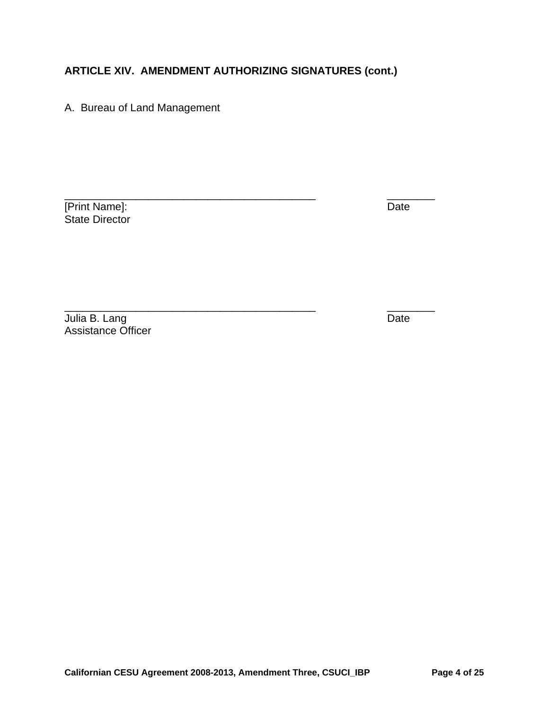A. Bureau of Land Management

[Print Name]: Date State Director

\_\_\_\_\_\_\_\_\_\_\_\_\_\_\_\_\_\_\_\_\_\_\_\_\_\_\_\_\_\_\_\_\_\_\_\_\_\_\_\_\_\_ \_\_\_\_\_\_\_\_

Julia B. Lang Date Communication of the Date Communication of the Date Communication of the Date Assistance Officer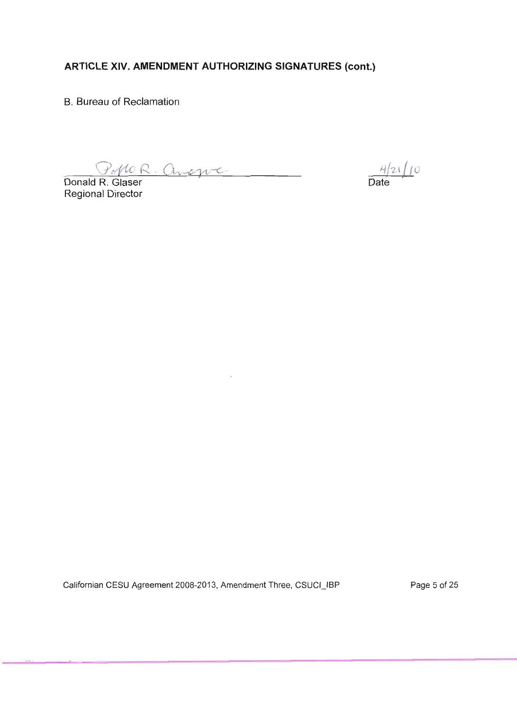**B.** Bureau of Reclamation

Donald R. Glaser

Regional Director

 $\frac{4}{24}$  10

Californian CESU Agreement 2008-2013, Amendment Three, CSUCI\_IBP

Page 5 of 25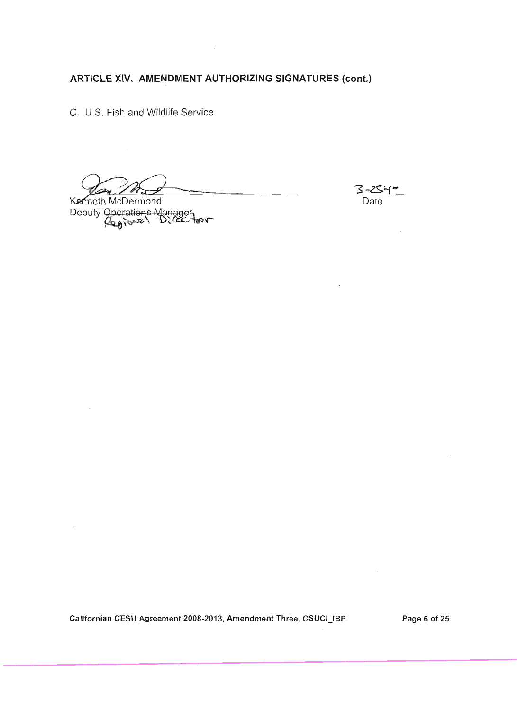C. U.S. Fish and Wildlife Service

Kenneth McDermond Deputy Operations Manager<br>Regional Director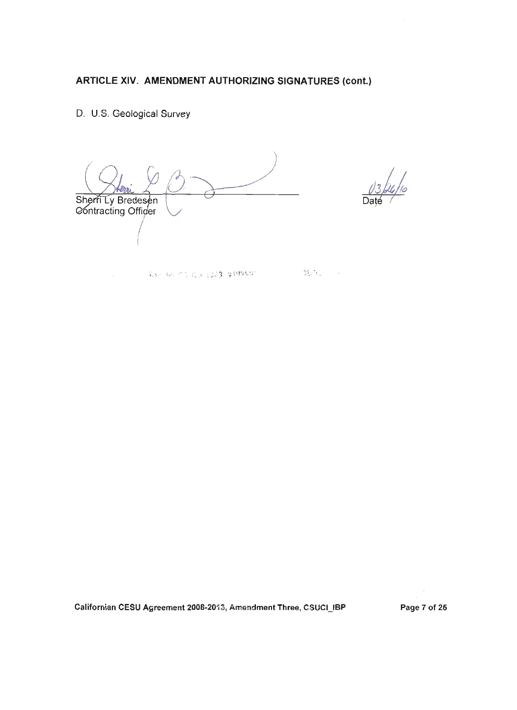### D. U.S. Geological Survey

 $\hat{\mathcal{L}}$ 

Sherri Ly Bredesen<br>Contracting Officer

Subscribed in the Equity of Orders of

 $\sum_{i=1}^{n-1}\sum_{j=1}^{n-1}\sum_{j=1}^{n-1}\sum_{j=1}^{n-1}\sum_{j=1}^{n-1}\sum_{j=1}^{n-1}\sum_{j=1}^{n-1}\sum_{j=1}^{n-1}\sum_{j=1}^{n-1}\sum_{j=1}^{n-1}\sum_{j=1}^{n-1}\sum_{j=1}^{n-1}\sum_{j=1}^{n-1}\sum_{j=1}^{n-1}\sum_{j=1}^{n-1}\sum_{j=1}^{n-1}\sum_{j=1}^{n-1}\sum_{j=1}^{n-1}\sum_{j=1}^{n-1}\sum_{j=1}^{n-1$ 

 $\sim$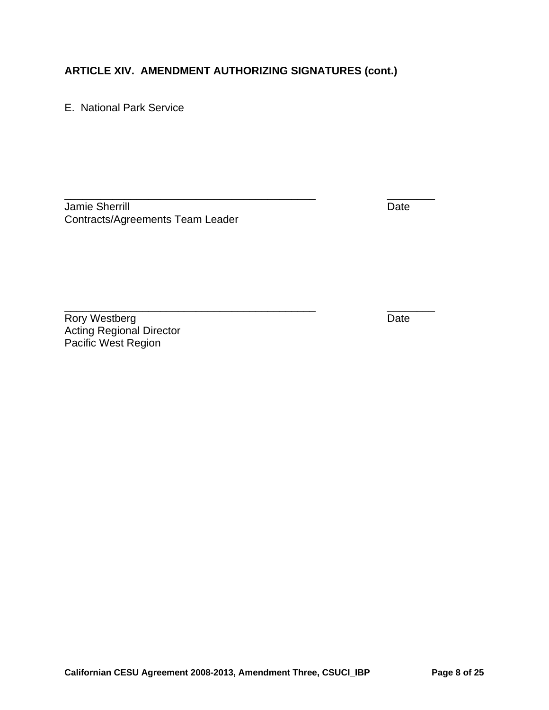\_\_\_\_\_\_\_\_\_\_\_\_\_\_\_\_\_\_\_\_\_\_\_\_\_\_\_\_\_\_\_\_\_\_\_\_\_\_\_\_\_\_ \_\_\_\_\_\_\_\_

E. National Park Service

Jamie Sherrill Date New York 1999 and 2009 and 2009 and 2009 and 2009 and 2009 and 2009 and 2009 and 2009 and 2009 and 2009 and 2009 and 2009 and 2009 and 2009 and 2009 and 2009 and 2009 and 2009 and 2009 and 2009 and 2009 Contracts/Agreements Team Leader

Rory Westberg **Date** Acting Regional Director Pacific West Region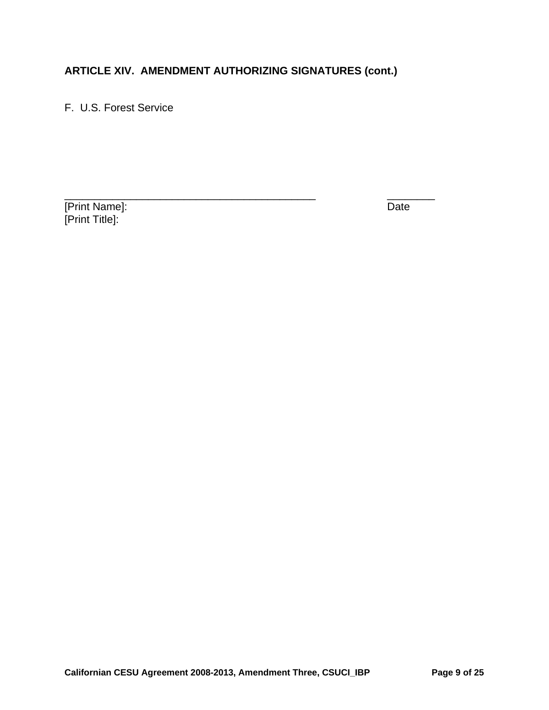F. U.S. Forest Service

[Print Name]: Date [Print Title]: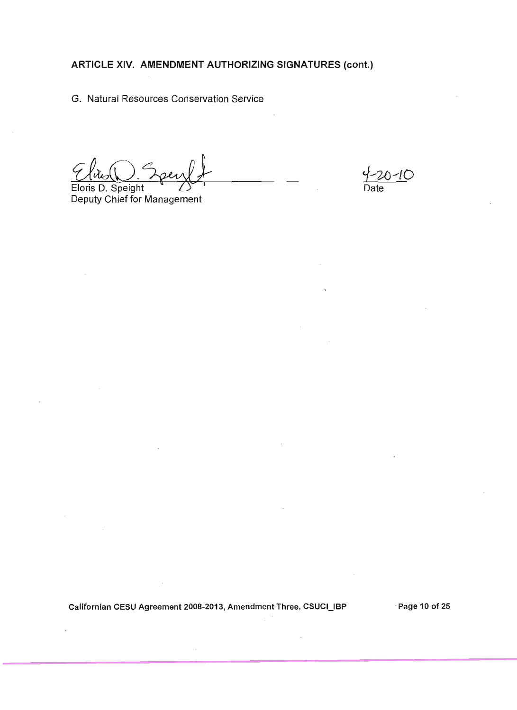G. Natural Resources Conservation Service

Eloris D. Speight Deputy Chief for Management

20-10

Californian CESU Agreement 2008-2013, Amendment Three, CSUCI\_IBP Page 10 of 25

 $\sim$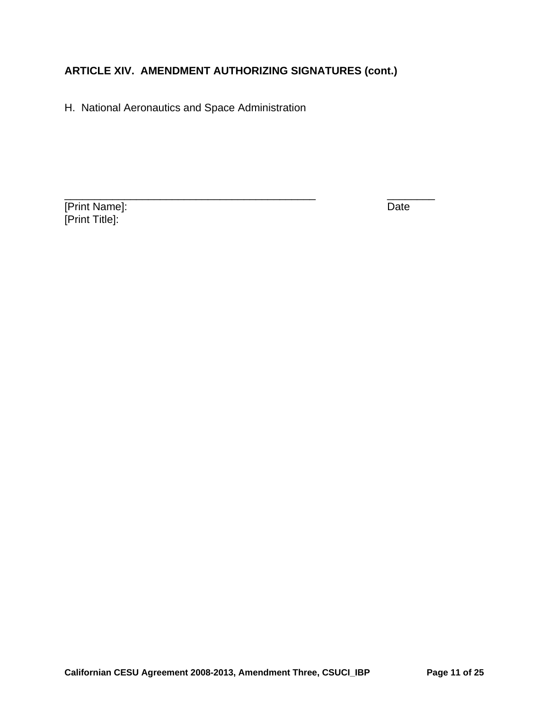H. National Aeronautics and Space Administration

[Print Name]: Date [Print Title]: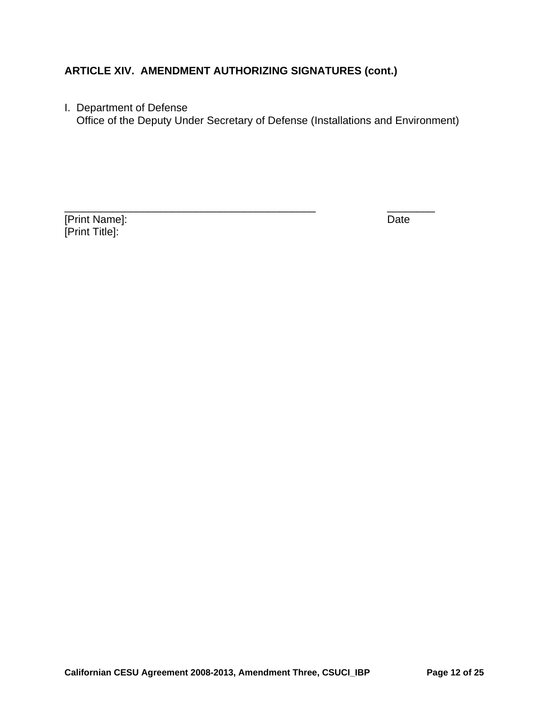I. Department of Defense

Office of the Deputy Under Secretary of Defense (Installations and Environment)

[Print Name]: Date [Print Title]: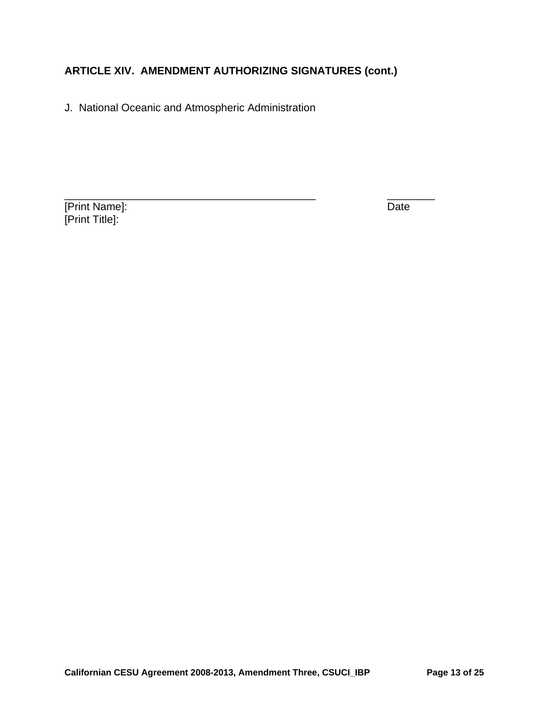J. National Oceanic and Atmospheric Administration

**Print Name]:** Date [Print Title]: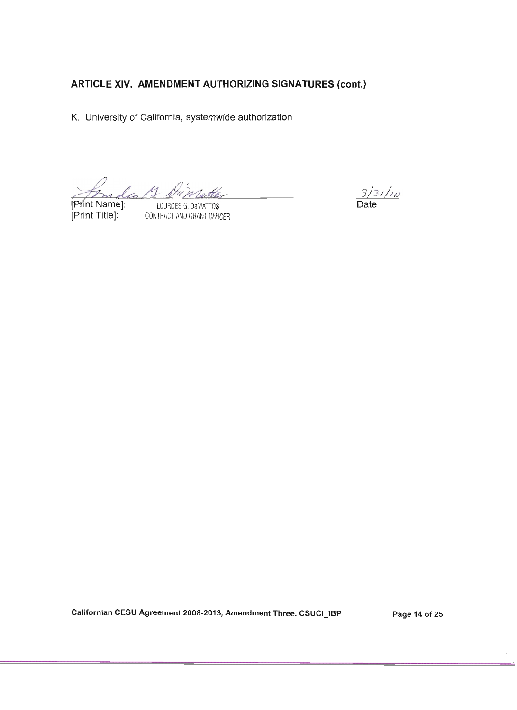K. University of California, systemwide authorization

Inde 13 Dan

Print Name]: [Print Title]:

LOURDES G. DeMATTOS CONTRACT AND GRANT OFFICER

 $\frac{3}{3}/\frac{1}{10}$ 

Californian CESU Agreement 2008-2013, Amendment Three, CSUCI\_IBP

Page 14 of 25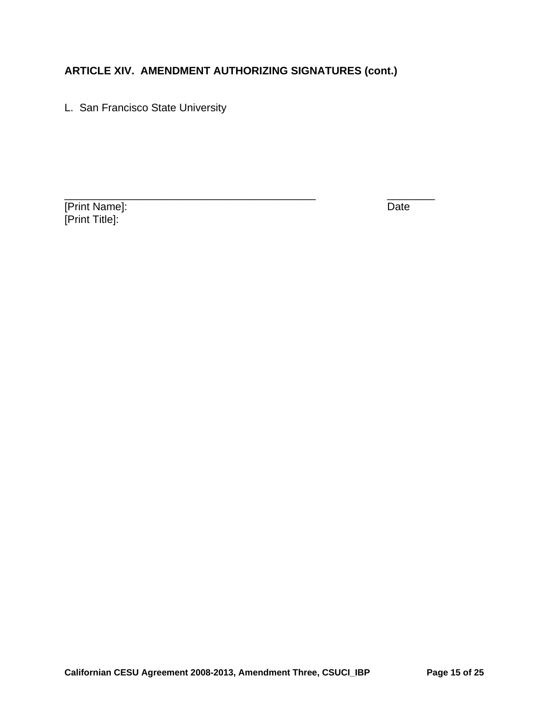L. San Francisco State University

[Print Name]: Date [Print Title]: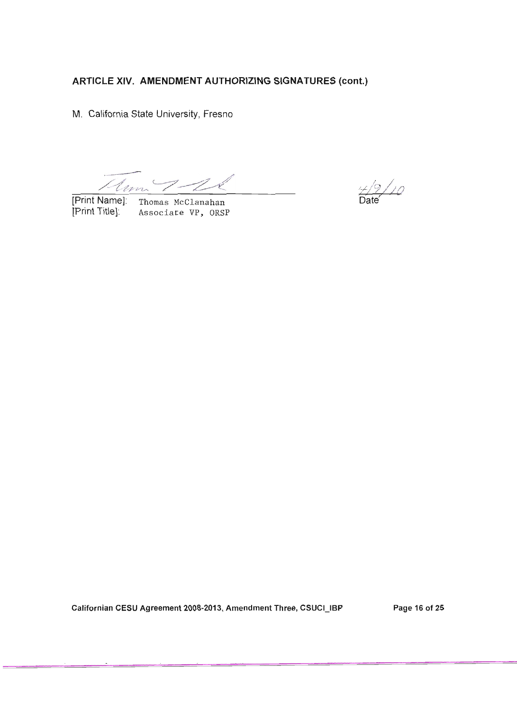M. California State University, Fresno

Mum 1-26

[Print Name]: Thomas McClanahan [Print Title]: Associate VP, ORSP

 $19/10$ 

Californian CESU Agreement 2008-2013, Amendment Three, CSUCI\_IBP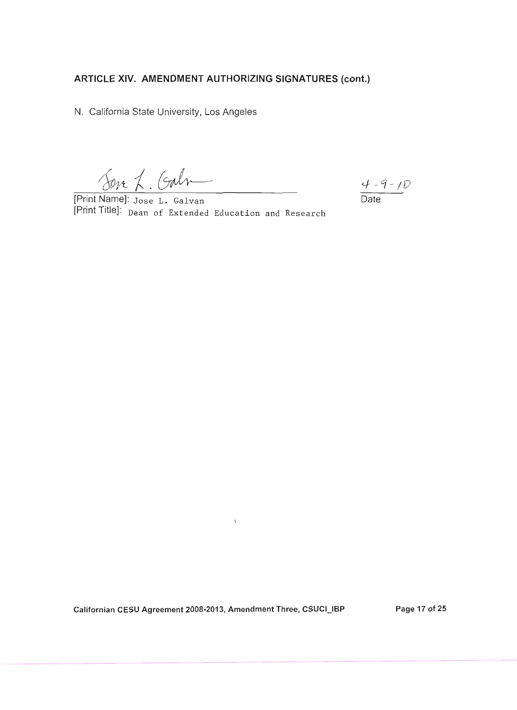N. California State University, Los Angeles

Obre L. Galn

[Print Name]: Jose L. Galvan<br>[Print Title]: <sub>Dean</sub> of Extended Education and Research

 $\frac{4-9-10}{\text{Date}}$ 

 $\bar{1}$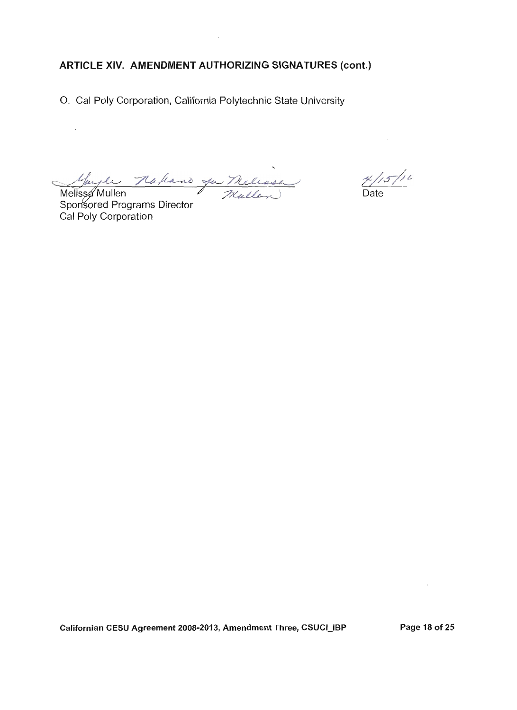O. Cal Poly Corporation, California Polytechnic State University

Mayle Nathand you Melessa

Sponsored Programs Director Cal Poly Corporation

 $4/15/10$  $\overline{Date}$ 

 $\bar{z}$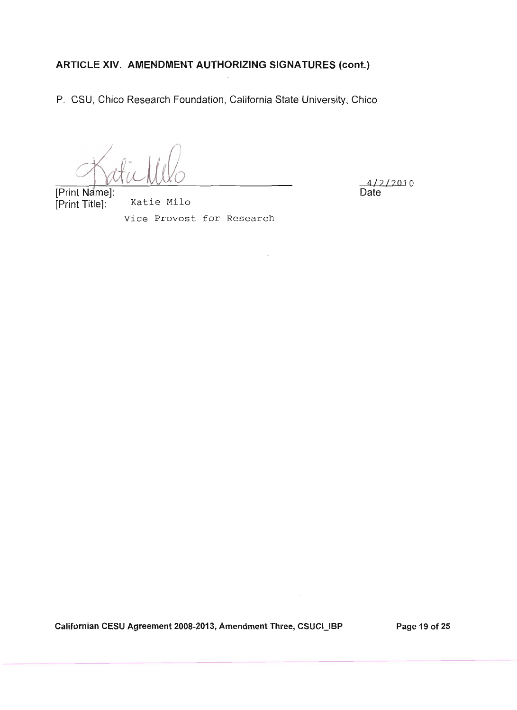P. CSU, Chico Research Foundation, California State University, Chico

 $12/2010$ Date

[Print Name]: [Print Title]:

Katie Milo Vice Provost for Research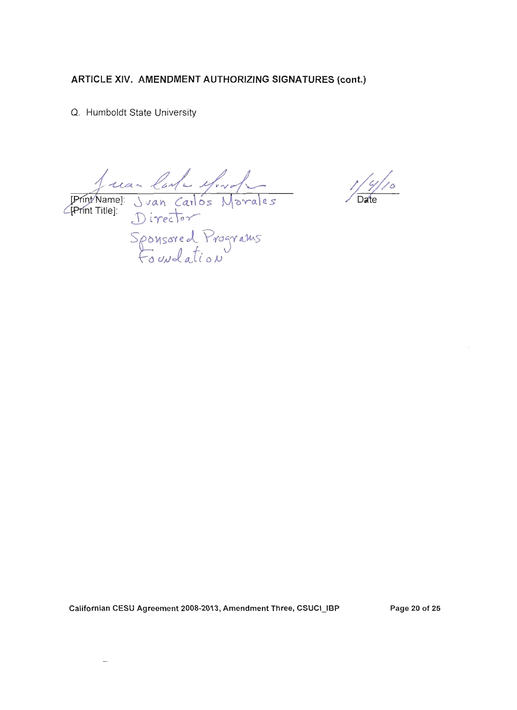Q. Humboldt State University

Juan Carle Mondes<br>Print Title]: Juan Carlos Morales<br>Sponsored Programs<br>Foundation

 $\frac{1}{2}$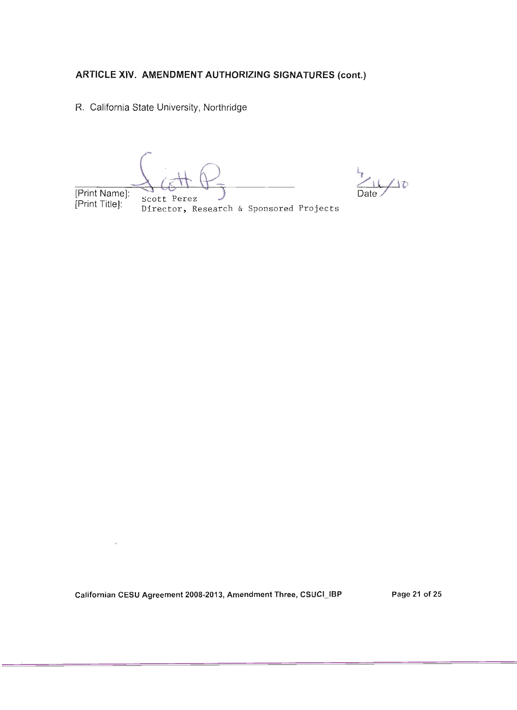R. California State University, Northridge

[Print Name]: Scott Perez [Print Title]:

IO

Director, Research & Sponsored Projects

Californian CESU Agreement 2008-2013, Amendment Three, CSUCI\_IBP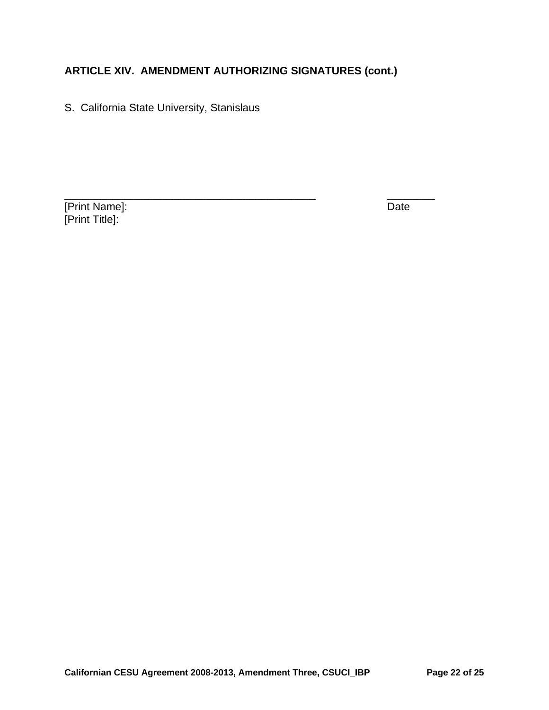S. California State University, Stanislaus

[Print Name]: Date [Print Title]: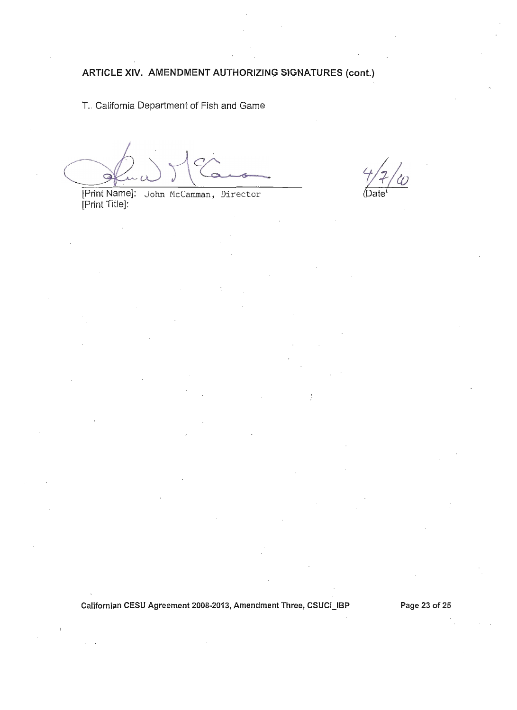T. California Department of Fish and Game

[Print Name]: John McCamman, Director<br>[Print Title]:

Californian CESU Agreement 2008-2013, Amendment Three, CSUCI\_IBP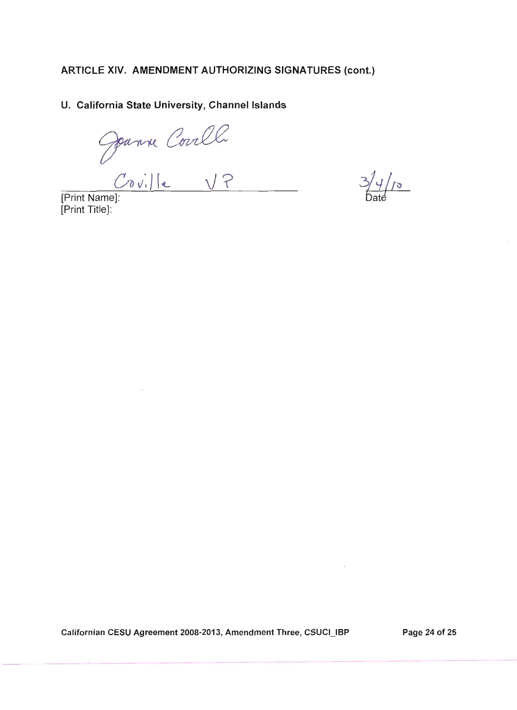#### U. California State University, Channel Islands

Jeanne Coville<br>Print Names:

[Print Title]:

 $3/4/10$